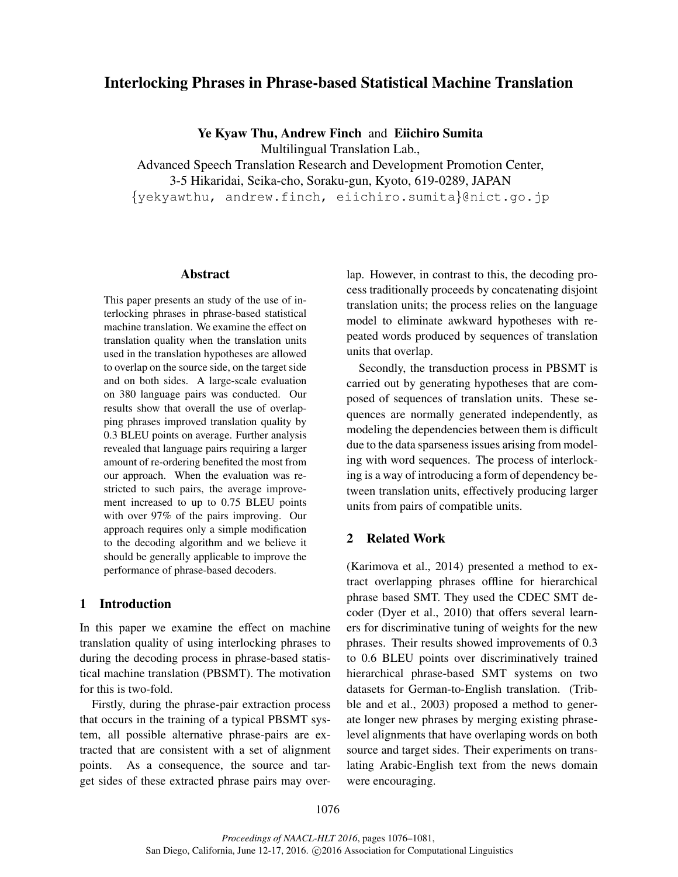# Interlocking Phrases in Phrase-based Statistical Machine Translation

Ye Kyaw Thu, Andrew Finch and Eiichiro Sumita

Multilingual Translation Lab.,

Advanced Speech Translation Research and Development Promotion Center, 3-5 Hikaridai, Seika-cho, Soraku-gun, Kyoto, 619-0289, JAPAN {yekyawthu, andrew.finch, eiichiro.sumita}@nict.go.jp

## Abstract

This paper presents an study of the use of interlocking phrases in phrase-based statistical machine translation. We examine the effect on translation quality when the translation units used in the translation hypotheses are allowed to overlap on the source side, on the target side and on both sides. A large-scale evaluation on 380 language pairs was conducted. Our results show that overall the use of overlapping phrases improved translation quality by 0.3 BLEU points on average. Further analysis revealed that language pairs requiring a larger amount of re-ordering benefited the most from our approach. When the evaluation was restricted to such pairs, the average improvement increased to up to 0.75 BLEU points with over 97% of the pairs improving. Our approach requires only a simple modification to the decoding algorithm and we believe it should be generally applicable to improve the performance of phrase-based decoders.

# 1 Introduction

In this paper we examine the effect on machine translation quality of using interlocking phrases to during the decoding process in phrase-based statistical machine translation (PBSMT). The motivation for this is two-fold.

Firstly, during the phrase-pair extraction process that occurs in the training of a typical PBSMT system, all possible alternative phrase-pairs are extracted that are consistent with a set of alignment points. As a consequence, the source and target sides of these extracted phrase pairs may overlap. However, in contrast to this, the decoding process traditionally proceeds by concatenating disjoint translation units; the process relies on the language model to eliminate awkward hypotheses with repeated words produced by sequences of translation units that overlap.

Secondly, the transduction process in PBSMT is carried out by generating hypotheses that are composed of sequences of translation units. These sequences are normally generated independently, as modeling the dependencies between them is difficult due to the data sparseness issues arising from modeling with word sequences. The process of interlocking is a way of introducing a form of dependency between translation units, effectively producing larger units from pairs of compatible units.

## 2 Related Work

(Karimova et al., 2014) presented a method to extract overlapping phrases offline for hierarchical phrase based SMT. They used the CDEC SMT decoder (Dyer et al., 2010) that offers several learners for discriminative tuning of weights for the new phrases. Their results showed improvements of 0.3 to 0.6 BLEU points over discriminatively trained hierarchical phrase-based SMT systems on two datasets for German-to-English translation. (Tribble and et al., 2003) proposed a method to generate longer new phrases by merging existing phraselevel alignments that have overlaping words on both source and target sides. Their experiments on translating Arabic-English text from the news domain were encouraging.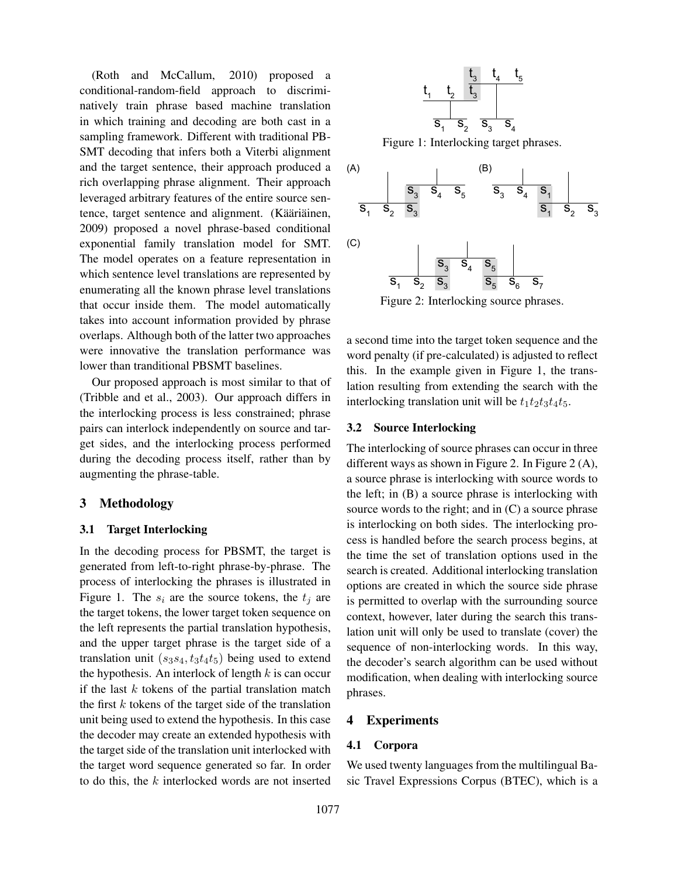(Roth and McCallum, 2010) proposed a conditional-random-field approach to discriminatively train phrase based machine translation in which training and decoding are both cast in a sampling framework. Different with traditional PB-SMT decoding that infers both a Viterbi alignment and the target sentence, their approach produced a rich overlapping phrase alignment. Their approach leveraged arbitrary features of the entire source sentence, target sentence and alignment. (Kääriäinen, 2009) proposed a novel phrase-based conditional exponential family translation model for SMT. The model operates on a feature representation in which sentence level translations are represented by enumerating all the known phrase level translations that occur inside them. The model automatically takes into account information provided by phrase overlaps. Although both of the latter two approaches were innovative the translation performance was lower than tranditional PBSMT baselines.

Our proposed approach is most similar to that of (Tribble and et al., 2003). Our approach differs in the interlocking process is less constrained; phrase pairs can interlock independently on source and target sides, and the interlocking process performed during the decoding process itself, rather than by augmenting the phrase-table.

#### 3 Methodology

# 3.1 Target Interlocking

In the decoding process for PBSMT, the target is generated from left-to-right phrase-by-phrase. The process of interlocking the phrases is illustrated in Figure 1. The  $s_i$  are the source tokens, the  $t_i$  are the target tokens, the lower target token sequence on the left represents the partial translation hypothesis, and the upper target phrase is the target side of a translation unit  $(s_3s_4, t_3t_4t_5)$  being used to extend the hypothesis. An interlock of length  $k$  is can occur if the last  $k$  tokens of the partial translation match the first  $k$  tokens of the target side of the translation unit being used to extend the hypothesis. In this case the decoder may create an extended hypothesis with the target side of the translation unit interlocked with the target word sequence generated so far. In order to do this, the  $k$  interlocked words are not inserted



Figure 1: Interlocking target phrases.



a second time into the target token sequence and the word penalty (if pre-calculated) is adjusted to reflect this. In the example given in Figure 1, the translation resulting from extending the search with the interlocking translation unit will be  $t_1t_2t_3t_4t_5$ .

## 3.2 Source Interlocking

The interlocking of source phrases can occur in three different ways as shown in Figure 2. In Figure 2 (A), a source phrase is interlocking with source words to the left; in (B) a source phrase is interlocking with source words to the right; and in (C) a source phrase is interlocking on both sides. The interlocking process is handled before the search process begins, at the time the set of translation options used in the search is created. Additional interlocking translation options are created in which the source side phrase is permitted to overlap with the surrounding source context, however, later during the search this translation unit will only be used to translate (cover) the sequence of non-interlocking words. In this way, the decoder's search algorithm can be used without modification, when dealing with interlocking source phrases.

# 4 Experiments

## 4.1 Corpora

We used twenty languages from the multilingual Basic Travel Expressions Corpus (BTEC), which is a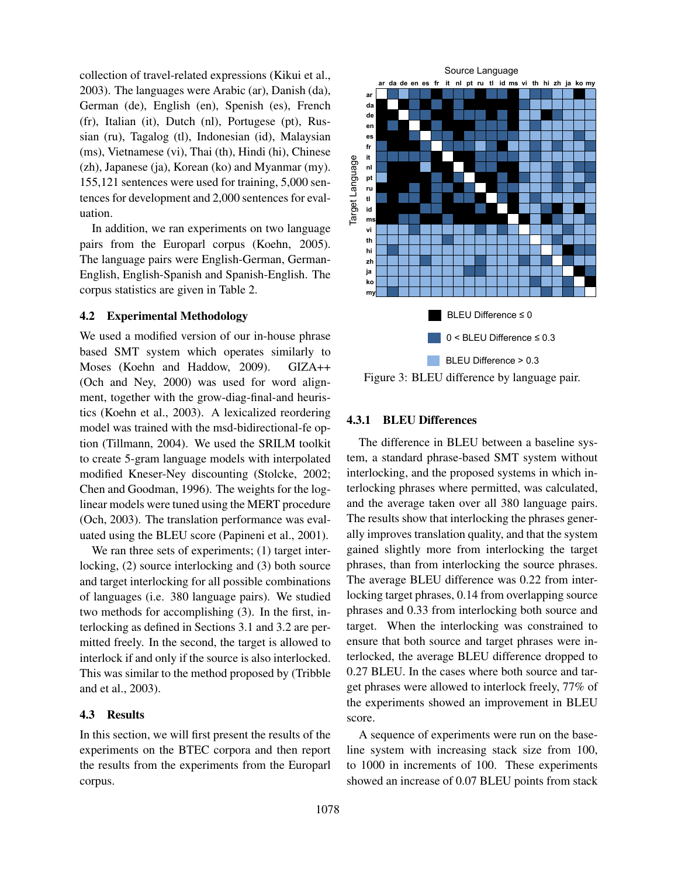collection of travel-related expressions (Kikui et al., 2003). The languages were Arabic (ar), Danish (da), German (de), English (en), Spenish (es), French (fr), Italian (it), Dutch (nl), Portugese (pt), Russian (ru), Tagalog (tl), Indonesian (id), Malaysian (ms), Vietnamese (vi), Thai (th), Hindi (hi), Chinese (zh), Japanese (ja), Korean (ko) and Myanmar (my). 155,121 sentences were used for training, 5,000 sentences for development and 2,000 sentences for evaluation.

In addition, we ran experiments on two language pairs from the Europarl corpus (Koehn, 2005). The language pairs were English-German, German-English, English-Spanish and Spanish-English. The corpus statistics are given in Table 2.

# 4.2 Experimental Methodology

We used a modified version of our in-house phrase based SMT system which operates similarly to Moses (Koehn and Haddow, 2009). GIZA++ (Och and Ney, 2000) was used for word alignment, together with the grow-diag-final-and heuristics (Koehn et al., 2003). A lexicalized reordering model was trained with the msd-bidirectional-fe option (Tillmann, 2004). We used the SRILM toolkit to create 5-gram language models with interpolated modified Kneser-Ney discounting (Stolcke, 2002; Chen and Goodman, 1996). The weights for the loglinear models were tuned using the MERT procedure (Och, 2003). The translation performance was evaluated using the BLEU score (Papineni et al., 2001).

We ran three sets of experiments; (1) target interlocking, (2) source interlocking and (3) both source and target interlocking for all possible combinations of languages (i.e. 380 language pairs). We studied two methods for accomplishing (3). In the first, interlocking as defined in Sections 3.1 and 3.2 are permitted freely. In the second, the target is allowed to interlock if and only if the source is also interlocked. This was similar to the method proposed by (Tribble and et al., 2003).

### 4.3 Results

In this section, we will first present the results of the experiments on the BTEC corpora and then report the results from the experiments from the Europarl corpus.



Figure 3: BLEU difference by language pair.

#### 4.3.1 BLEU Differences

The difference in BLEU between a baseline system, a standard phrase-based SMT system without interlocking, and the proposed systems in which interlocking phrases where permitted, was calculated, and the average taken over all 380 language pairs. The results show that interlocking the phrases generally improves translation quality, and that the system gained slightly more from interlocking the target phrases, than from interlocking the source phrases. The average BLEU difference was 0.22 from interlocking target phrases, 0.14 from overlapping source phrases and 0.33 from interlocking both source and target. When the interlocking was constrained to ensure that both source and target phrases were interlocked, the average BLEU difference dropped to 0.27 BLEU. In the cases where both source and target phrases were allowed to interlock freely, 77% of the experiments showed an improvement in BLEU score.

A sequence of experiments were run on the baseline system with increasing stack size from 100, to 1000 in increments of 100. These experiments showed an increase of 0.07 BLEU points from stack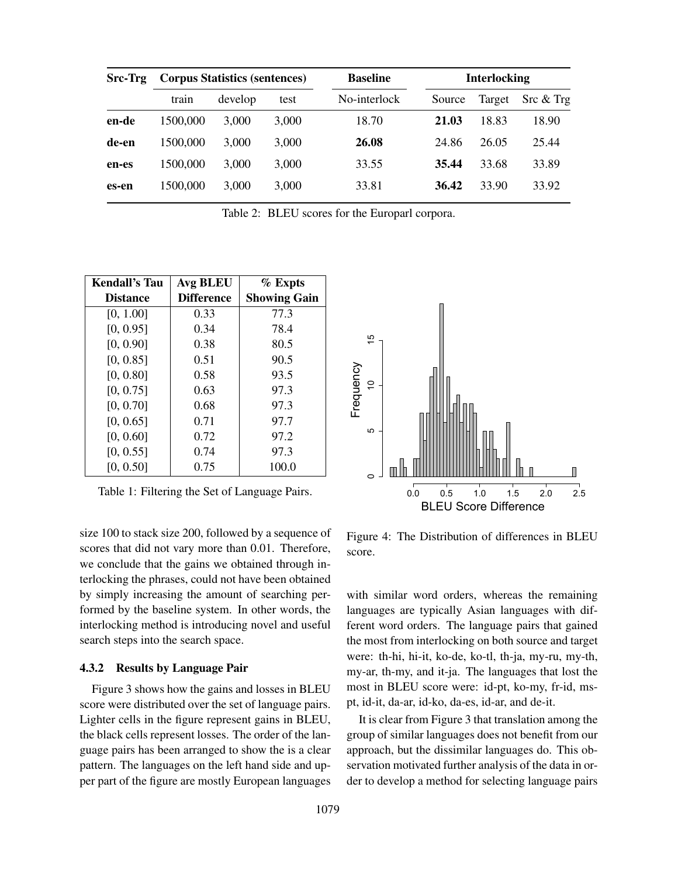| <b>Corpus Statistics (sentences)</b> |         |       | <b>Baseline</b> | <b>Interlocking</b> |        |                            |
|--------------------------------------|---------|-------|-----------------|---------------------|--------|----------------------------|
| train                                | develop | test  | No-interlock    | Source              | Target | $\text{Src} \& \text{Trg}$ |
| 1500,000                             | 3,000   | 3,000 | 18.70           | 21.03               | 18.83  | 18.90                      |
| 1500,000                             | 3,000   | 3,000 | 26.08           | 24.86               | 26.05  | 25.44                      |
| 1500,000                             | 3,000   | 3,000 | 33.55           | 35.44               | 33.68  | 33.89                      |
| 1500,000                             | 3,000   | 3,000 | 33.81           | 36.42               | 33.90  | 33.92                      |
|                                      |         |       |                 |                     |        |                            |

Table 2: BLEU scores for the Europarl corpora.

| Kendall's Tau   | <b>Avg BLEU</b>   | $\%$ Expts          |  |
|-----------------|-------------------|---------------------|--|
| <b>Distance</b> | <b>Difference</b> | <b>Showing Gain</b> |  |
| [0, 1.00]       | 0.33              | 77.3                |  |
| [0, 0.95]       | 0.34              | 78.4                |  |
| [0, 0.90]       | 0.38              | 80.5                |  |
| [0, 0.85]       | 0.51              | 90.5                |  |
| [0, 0.80]       | 0.58              | 93.5                |  |
| [0, 0.75]       | 0.63              | 97.3                |  |
| [0, 0.70]       | 0.68              | 97.3                |  |
| [0, 0.65]       | 0.71              | 97.7                |  |
| [0, 0.60]       | 0.72              | 97.2                |  |
| [0, 0.55]       | 0.74              | 97.3                |  |
| [0, 0.50]       | 0.75              | 100.0               |  |

Table 1: Filtering the Set of Language Pairs.

size 100 to stack size 200, followed by a sequence of scores that did not vary more than 0.01. Therefore, we conclude that the gains we obtained through interlocking the phrases, could not have been obtained by simply increasing the amount of searching performed by the baseline system. In other words, the interlocking method is introducing novel and useful search steps into the search space.

#### 4.3.2 Results by Language Pair

Figure 3 shows how the gains and losses in BLEU score were distributed over the set of language pairs. Lighter cells in the figure represent gains in BLEU, the black cells represent losses. The order of the language pairs has been arranged to show the is a clear pattern. The languages on the left hand side and upper part of the figure are mostly European languages



Figure 4: The Distribution of differences in BLEU score.

with similar word orders, whereas the remaining languages are typically Asian languages with different word orders. The language pairs that gained the most from interlocking on both source and target were: th-hi, hi-it, ko-de, ko-tl, th-ja, my-ru, my-th, my-ar, th-my, and it-ja. The languages that lost the most in BLEU score were: id-pt, ko-my, fr-id, mspt, id-it, da-ar, id-ko, da-es, id-ar, and de-it.

It is clear from Figure 3 that translation among the group of similar languages does not benefit from our approach, but the dissimilar languages do. This observation motivated further analysis of the data in order to develop a method for selecting language pairs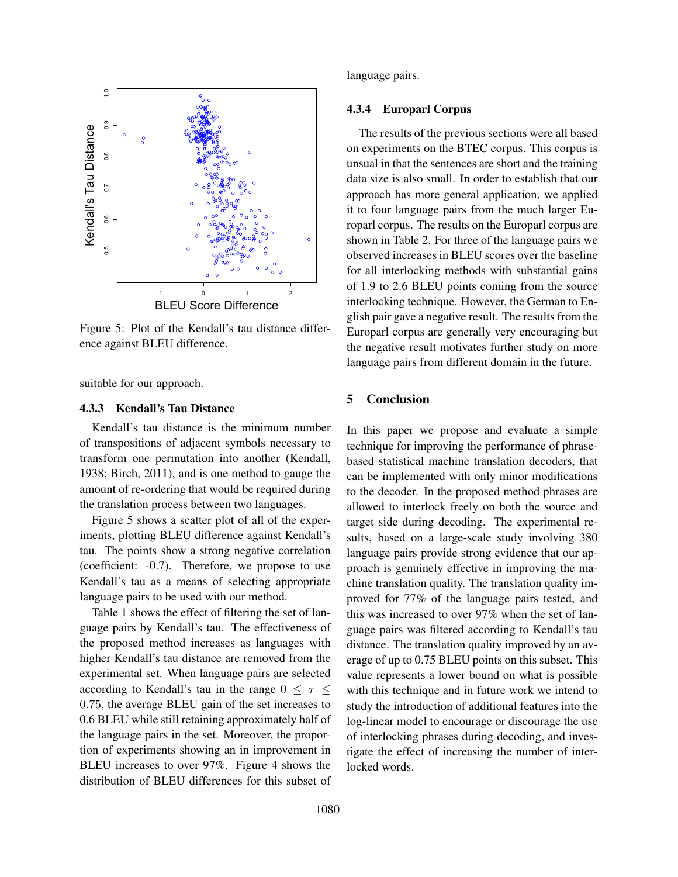

Figure 5: Plot of the Kendall's tau distance difference against BLEU difference.

suitable for our approach.

# 4.3.3 Kendall's Tau Distance

Kendall's tau distance is the minimum number of transpositions of adjacent symbols necessary to transform one permutation into another (Kendall, 1938; Birch, 2011), and is one method to gauge the amount of re-ordering that would be required during the translation process between two languages.

Figure 5 shows a scatter plot of all of the experiments, plotting BLEU difference against Kendall's tau. The points show a strong negative correlation (coefficient: -0.7). Therefore, we propose to use Kendall's tau as a means of selecting appropriate language pairs to be used with our method.

Table 1 shows the effect of filtering the set of language pairs by Kendall's tau. The effectiveness of the proposed method increases as languages with higher Kendall's tau distance are removed from the experimental set. When language pairs are selected according to Kendall's tau in the range  $0 \leq \tau \leq$ 0.75, the average BLEU gain of the set increases to 0.6 BLEU while still retaining approximately half of the language pairs in the set. Moreover, the proportion of experiments showing an in improvement in BLEU increases to over 97%. Figure 4 shows the distribution of BLEU differences for this subset of language pairs.

## 4.3.4 Europarl Corpus

The results of the previous sections were all based on experiments on the BTEC corpus. This corpus is unsual in that the sentences are short and the training data size is also small. In order to establish that our approach has more general application, we applied it to four language pairs from the much larger Europarl corpus. The results on the Europarl corpus are shown in Table 2. For three of the language pairs we observed increases in BLEU scores over the baseline for all interlocking methods with substantial gains of 1.9 to 2.6 BLEU points coming from the source interlocking technique. However, the German to English pair gave a negative result. The results from the Europarl corpus are generally very encouraging but the negative result motivates further study on more language pairs from different domain in the future.

# 5 Conclusion

In this paper we propose and evaluate a simple technique for improving the performance of phrasebased statistical machine translation decoders, that can be implemented with only minor modifications to the decoder. In the proposed method phrases are allowed to interlock freely on both the source and target side during decoding. The experimental results, based on a large-scale study involving 380 language pairs provide strong evidence that our approach is genuinely effective in improving the machine translation quality. The translation quality improved for 77% of the language pairs tested, and this was increased to over 97% when the set of language pairs was filtered according to Kendall's tau distance. The translation quality improved by an average of up to 0.75 BLEU points on this subset. This value represents a lower bound on what is possible with this technique and in future work we intend to study the introduction of additional features into the log-linear model to encourage or discourage the use of interlocking phrases during decoding, and investigate the effect of increasing the number of interlocked words.